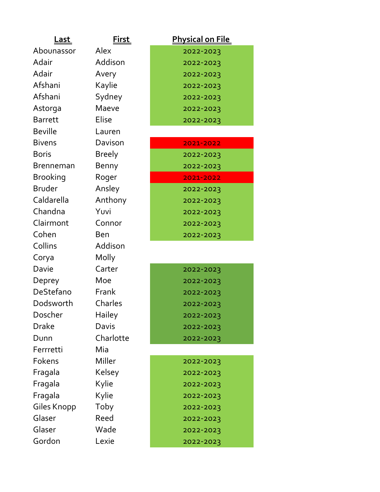| <u>Last</u>      | <u>First_</u> | <b>Physical on File</b> |
|------------------|---------------|-------------------------|
| Abounassor       | Alex          | 2022-2023               |
| Adair            | Addison       | 2022-2023               |
| Adair            | Avery         | 2022-2023               |
| Afshani          | Kaylie        | 2022-2023               |
| Afshani          | Sydney        | 2022-2023               |
| Astorga          | Maeve         | 2022-2023               |
| <b>Barrett</b>   | <b>Elise</b>  | 2022-2023               |
| <b>Beville</b>   | Lauren        |                         |
| <b>Bivens</b>    | Davison       | 2021-2022               |
| <b>Boris</b>     | <b>Breely</b> | 2022-2023               |
| <b>Brenneman</b> | Benny         | 2022-2023               |
| <b>Brooking</b>  | Roger         | 2021-2022               |
| <b>Bruder</b>    | Ansley        | 2022-2023               |
| Caldarella       | Anthony       | 2022-2023               |
| Chandna          | Yuvi          | 2022-2023               |
| Clairmont        | Connor        | 2022-2023               |
| Cohen            | <b>Ben</b>    | 2022-2023               |
| Collins          | Addison       |                         |
| Corya            | Molly         |                         |
| Davie            | Carter        | 2022-2023               |
| Deprey           | Moe           | 2022-2023               |
| DeStefano        | Frank         | 2022-2023               |
| Dodsworth        | Charles       | 2022-2023               |
| Doscher          | <b>Hailey</b> | 2022-2023               |
| <b>Drake</b>     | Davis         | 2022-2023               |
| Dunn             | Charlotte     | 2022-2023               |
| Ferrretti        | Mia           |                         |
| Fokens           | Miller        | 2022-2023               |
| Fragala          | Kelsey        | 2022-2023               |
| Fragala          | Kylie         | 2022-2023               |
| Fragala          | Kylie         | 2022-2023               |
| Giles Knopp      | Toby          | 2022-2023               |
| Glaser           | Reed          | 2022-2023               |
| Glaser           | Wade          | 2022-2023               |
| Gordon           | Lexie         | 2022-2023               |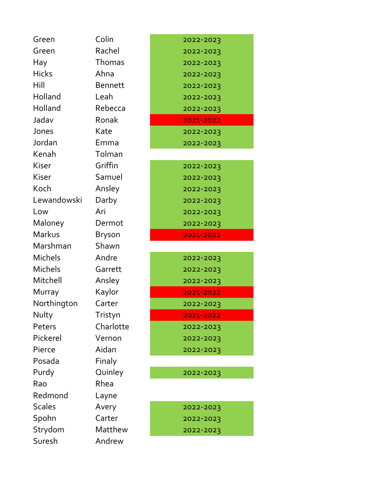| Rachel<br>Green<br>Thomas<br>Hay<br><b>Hicks</b><br>Ahna<br>Hill<br><b>Bennett</b><br>Holland<br>Leah<br>Holland<br>Rebecca<br>Jadav<br>Ronak<br>Jones<br>Kate<br>Jordan<br>Emma<br>Kenah<br>Tolman<br>Griffin<br>Kiser<br>Kiser<br>Samuel<br>Koch<br>Ansley<br>Lewandowski<br>Darby<br>Ari<br>Low<br>Maloney<br>Dermot<br>Markus<br><b>Bryson</b><br>Marshman<br>Shawn<br>Michels<br>Andre<br>Michels<br>Garrett<br>Mitchell<br>Ansley<br>Kaylor<br>Murray<br>Northington<br>Carter<br>Nulty<br>Tristyn<br>Charlotte<br>Peters<br>Pickerel<br>Vernon<br>Aidan<br>Pierce<br>Posada<br>Finaly<br>Purdy<br>Quinley<br>Rhea<br>Rao<br>Redmond<br>Layne<br><b>Scales</b><br>Avery<br>Spohn<br>Carter<br>Strydom<br>Matthew<br>Andrew<br>Suresh | Green | Colin | 2022-2023 |
|--------------------------------------------------------------------------------------------------------------------------------------------------------------------------------------------------------------------------------------------------------------------------------------------------------------------------------------------------------------------------------------------------------------------------------------------------------------------------------------------------------------------------------------------------------------------------------------------------------------------------------------------------------------------------------------------------------------------------------------------|-------|-------|-----------|
|                                                                                                                                                                                                                                                                                                                                                                                                                                                                                                                                                                                                                                                                                                                                            |       |       | 2022-2023 |
|                                                                                                                                                                                                                                                                                                                                                                                                                                                                                                                                                                                                                                                                                                                                            |       |       | 2022-2023 |
|                                                                                                                                                                                                                                                                                                                                                                                                                                                                                                                                                                                                                                                                                                                                            |       |       | 2022-2023 |
|                                                                                                                                                                                                                                                                                                                                                                                                                                                                                                                                                                                                                                                                                                                                            |       |       | 2022-2023 |
|                                                                                                                                                                                                                                                                                                                                                                                                                                                                                                                                                                                                                                                                                                                                            |       |       | 2022-2023 |
|                                                                                                                                                                                                                                                                                                                                                                                                                                                                                                                                                                                                                                                                                                                                            |       |       | 2022-2023 |
|                                                                                                                                                                                                                                                                                                                                                                                                                                                                                                                                                                                                                                                                                                                                            |       |       | 2021-2022 |
|                                                                                                                                                                                                                                                                                                                                                                                                                                                                                                                                                                                                                                                                                                                                            |       |       | 2022-2023 |
|                                                                                                                                                                                                                                                                                                                                                                                                                                                                                                                                                                                                                                                                                                                                            |       |       | 2022-2023 |
|                                                                                                                                                                                                                                                                                                                                                                                                                                                                                                                                                                                                                                                                                                                                            |       |       |           |
|                                                                                                                                                                                                                                                                                                                                                                                                                                                                                                                                                                                                                                                                                                                                            |       |       | 2022-2023 |
|                                                                                                                                                                                                                                                                                                                                                                                                                                                                                                                                                                                                                                                                                                                                            |       |       | 2022-2023 |
|                                                                                                                                                                                                                                                                                                                                                                                                                                                                                                                                                                                                                                                                                                                                            |       |       | 2022-2023 |
|                                                                                                                                                                                                                                                                                                                                                                                                                                                                                                                                                                                                                                                                                                                                            |       |       | 2022-2023 |
|                                                                                                                                                                                                                                                                                                                                                                                                                                                                                                                                                                                                                                                                                                                                            |       |       | 2022-2023 |
|                                                                                                                                                                                                                                                                                                                                                                                                                                                                                                                                                                                                                                                                                                                                            |       |       | 2022-2023 |
|                                                                                                                                                                                                                                                                                                                                                                                                                                                                                                                                                                                                                                                                                                                                            |       |       | 2021-2022 |
|                                                                                                                                                                                                                                                                                                                                                                                                                                                                                                                                                                                                                                                                                                                                            |       |       |           |
|                                                                                                                                                                                                                                                                                                                                                                                                                                                                                                                                                                                                                                                                                                                                            |       |       | 2022-2023 |
|                                                                                                                                                                                                                                                                                                                                                                                                                                                                                                                                                                                                                                                                                                                                            |       |       | 2022-2023 |
|                                                                                                                                                                                                                                                                                                                                                                                                                                                                                                                                                                                                                                                                                                                                            |       |       | 2022-2023 |
|                                                                                                                                                                                                                                                                                                                                                                                                                                                                                                                                                                                                                                                                                                                                            |       |       | 2021-2022 |
|                                                                                                                                                                                                                                                                                                                                                                                                                                                                                                                                                                                                                                                                                                                                            |       |       | 2022-2023 |
|                                                                                                                                                                                                                                                                                                                                                                                                                                                                                                                                                                                                                                                                                                                                            |       |       | 2021-2022 |
|                                                                                                                                                                                                                                                                                                                                                                                                                                                                                                                                                                                                                                                                                                                                            |       |       | 2022-2023 |
|                                                                                                                                                                                                                                                                                                                                                                                                                                                                                                                                                                                                                                                                                                                                            |       |       | 2022-2023 |
|                                                                                                                                                                                                                                                                                                                                                                                                                                                                                                                                                                                                                                                                                                                                            |       |       | 2022-2023 |
|                                                                                                                                                                                                                                                                                                                                                                                                                                                                                                                                                                                                                                                                                                                                            |       |       |           |
|                                                                                                                                                                                                                                                                                                                                                                                                                                                                                                                                                                                                                                                                                                                                            |       |       | 2022-2023 |
|                                                                                                                                                                                                                                                                                                                                                                                                                                                                                                                                                                                                                                                                                                                                            |       |       |           |
|                                                                                                                                                                                                                                                                                                                                                                                                                                                                                                                                                                                                                                                                                                                                            |       |       |           |
|                                                                                                                                                                                                                                                                                                                                                                                                                                                                                                                                                                                                                                                                                                                                            |       |       | 2022-2023 |
|                                                                                                                                                                                                                                                                                                                                                                                                                                                                                                                                                                                                                                                                                                                                            |       |       | 2022-2023 |
|                                                                                                                                                                                                                                                                                                                                                                                                                                                                                                                                                                                                                                                                                                                                            |       |       | 2022-2023 |
|                                                                                                                                                                                                                                                                                                                                                                                                                                                                                                                                                                                                                                                                                                                                            |       |       |           |

| 2022-2023 |
|-----------|
| 2022-2023 |
| 2022-2023 |
| 2022-2023 |
| 2022-2023 |
| 2022-2023 |
| 2022-2023 |
| 2021-2022 |
| 2022-2023 |
| 2022-2023 |
|           |
| 2022-2023 |
| 2022-2023 |
| 2022-2023 |
| 2022-2023 |
| 2022-2023 |
| 2022-2023 |
| 2021-2022 |
|           |
| 2022-2023 |
| 2022-2023 |
| 2022-2023 |
| 2021-2022 |
| 2022-2023 |
| 2021-2022 |
| 2022-2023 |
| 2022-2023 |
| 2022-2023 |
|           |

Purdy 2022-2023

| 2022-2023 |
|-----------|
| 2022-2023 |
| 2022-2023 |